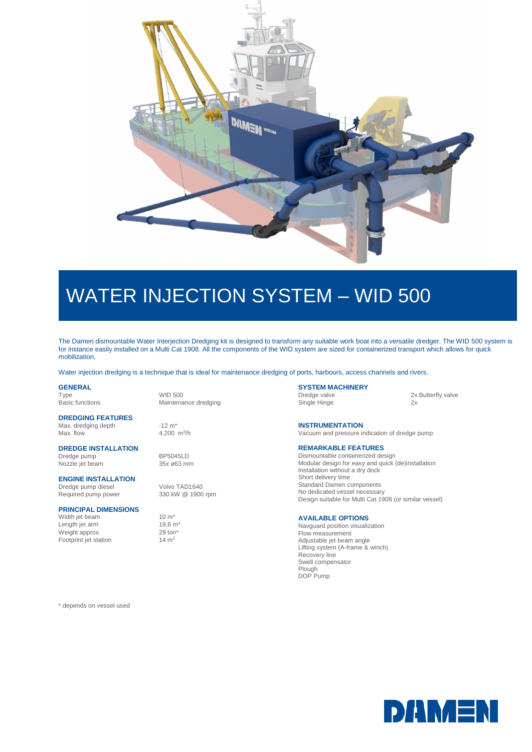

# WATER INJECTION SYSTEM – WID 500

The Damen dismountable Water Interjection Dredging kit is designed to transform any suitable work boat into a versatile dredger. The WID 500 system is for instance easily installed on a Multi Cat 1908. All the components of the WID system are sized for containerized transport which allows for quick mobilization.

Water injection dredging is a technique that is ideal for maintenance dredging of ports, harbours, access channels and rivers.

### **GENERAL**

Basic functions Maintenance dredging

**DREDGING FEATURES** Max. dredging depth -12 m<sup>\*</sup> Max. flow

#### **DREDGE INSTALLATION**

Dredge pump<br>Nozzle jet beam 85x ø63 mm Nozzle jet beam

#### **ENGINE INSTALLATION**

Required pump power

#### **PRINCIPAL DIMENSIONS**

Width jet beam  $10 \text{ m}^*$ <br>Length iet arm  $19.6 \text{ m}^*$ Length jet arm 19,6 m<br>Weight approx. 29 ton<sup>\*</sup> Weight approx. 29 ton<br>Footprint jet station  $14 \text{ m}^2$ Footprint jet station

Type WID 500

4,200  $m^3/h$ 

Dredge pump diesel Volvo TAD1640<br>Required pump power 330 kW @ 1900 rpm

### **SYSTEM MACHINERY**<br>Dredge valve

Single Hinge 2x

2x Butterfly valve

**INSTRUMENTATION** Vacuum and pressure indication of dredge pump

#### **REMARKABLE FEATURES**

Dismountable containerized design Modular design for easy and quick (de)installation Installation without a dry dock Short delivery time Standard Damen components No dedicated vessel necessary Design suitable for Multi Cat 1908 (or similar vessel)

#### **AVAILABLE OPTIONS**

Navguard position visualization Flow measurement Adjustable jet beam angle Lifting system (A-frame & winch) Recovery line Swell compensator Plough DOP Pump

\* depends on vessel used